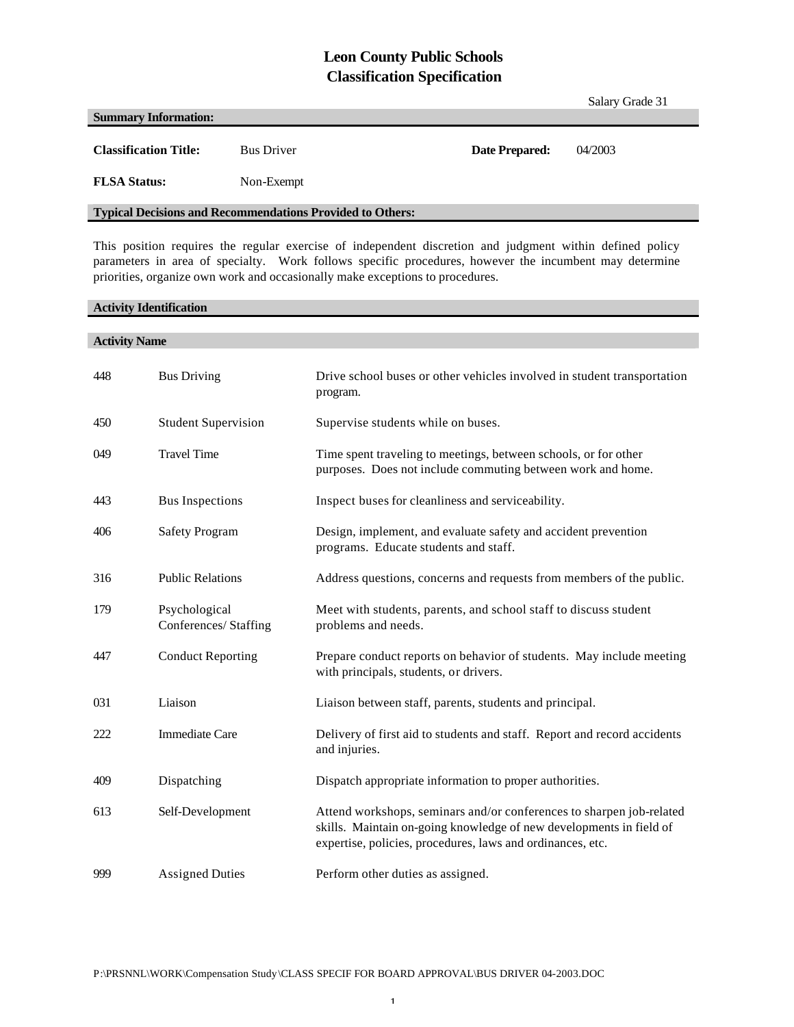## **Leon County Public Schools Classification Specification**

|                                                                  |                   |                | Salary Grade 31 |  |
|------------------------------------------------------------------|-------------------|----------------|-----------------|--|
| <b>Summary Information:</b>                                      |                   |                |                 |  |
| <b>Classification Title:</b>                                     | <b>Bus Driver</b> | Date Prepared: | 04/2003         |  |
| <b>FLSA Status:</b>                                              | Non-Exempt        |                |                 |  |
| <b>Typical Decisions and Recommendations Provided to Others:</b> |                   |                |                 |  |

This position requires the regular exercise of independent discretion and judgment within defined policy parameters in area of specialty. Work follows specific procedures, however the incumbent may determine priorities, organize own work and occasionally make exceptions to procedures.

#### **Activity Identification**

# **Activity Name** 448 Bus Driving Drive school buses or other vehicles involved in student transportation program. 450 Student Supervision Supervise students while on buses. 049 Travel Time Time spent traveling to meetings, between schools, or for other purposes. Does not include commuting between work and home. 443 Bus Inspections Inspect buses for cleanliness and serviceability. 406 Safety Program Design, implement, and evaluate safety and accident prevention programs. Educate students and staff. 316 Public Relations Address questions, concerns and requests from members of the public. 179 Psychological Conferences/ Staffing Meet with students, parents, and school staff to discuss student problems and needs. 447 Conduct Reporting Prepare conduct reports on behavior of students. May include meeting with principals, students, or drivers. 031 Liaison Liaison between staff, parents, students and principal. 222 Immediate Care Delivery of first aid to students and staff. Report and record accidents and injuries. 409 Dispatching Dispatch appropriate information to proper authorities. 613 Self-Development Attend workshops, seminars and/or conferences to sharpen job-related skills. Maintain on-going knowledge of new developments in field of expertise, policies, procedures, laws and ordinances, etc. 999 Assigned Duties Perform other duties as assigned.